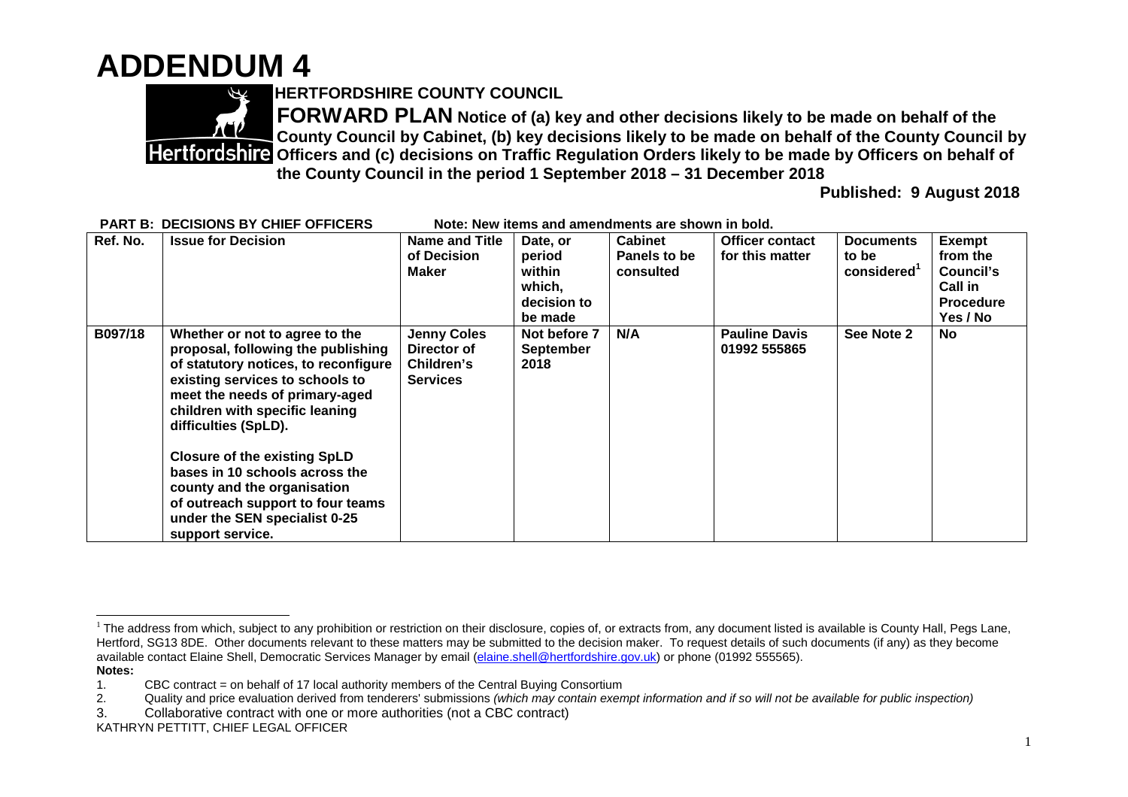## **ADDENDUM 4**



**HERTFORDSHIRE COUNTY COUNCIL**

**FORWARD PLAN Notice of (a) key and other decisions likely to be made on behalf of the County Council by Cabinet, (b) key decisions likely to be made on behalf of the County Council by Officers and (c) decisions on Traffic Regulation Orders likely to be made by Officers on behalf of the County Council in the period 1 September 2018 – 31 December 2018**

**Published: 9 August 2018**

| Ref. No. | <b>Issue for Decision</b>                                                                                                                                                                                                                   | <b>Name and Title</b>                                              | Date, or                                 | <b>Cabinet</b> | <b>Officer contact</b>               | <b>Documents</b> | <b>Exempt</b>    |
|----------|---------------------------------------------------------------------------------------------------------------------------------------------------------------------------------------------------------------------------------------------|--------------------------------------------------------------------|------------------------------------------|----------------|--------------------------------------|------------------|------------------|
|          |                                                                                                                                                                                                                                             | of Decision                                                        | period                                   | Panels to be   | for this matter                      | to be            | from the         |
|          |                                                                                                                                                                                                                                             | <b>Maker</b>                                                       | within                                   | consulted      |                                      | considered       | Council's        |
|          |                                                                                                                                                                                                                                             |                                                                    | which,                                   |                |                                      |                  | <b>Call in</b>   |
|          |                                                                                                                                                                                                                                             |                                                                    | decision to                              |                |                                      |                  | <b>Procedure</b> |
|          |                                                                                                                                                                                                                                             |                                                                    | be made                                  |                |                                      |                  | Yes / No         |
| B097/18  | Whether or not to agree to the<br>proposal, following the publishing<br>of statutory notices, to reconfigure<br>existing services to schools to<br>meet the needs of primary-aged<br>children with specific leaning<br>difficulties (SpLD). | <b>Jenny Coles</b><br>Director of<br>Children's<br><b>Services</b> | Not before 7<br><b>September</b><br>2018 | N/A            | <b>Pauline Davis</b><br>01992 555865 | See Note 2       | <b>No</b>        |
|          | <b>Closure of the existing SpLD</b><br>bases in 10 schools across the<br>county and the organisation                                                                                                                                        |                                                                    |                                          |                |                                      |                  |                  |
|          | of outreach support to four teams<br>under the SEN specialist 0-25<br>support service.                                                                                                                                                      |                                                                    |                                          |                |                                      |                  |                  |

**PART B: DECISIONS BY CHIEF OFFICERS Note: New items and amendments are shown in bold.**

<sup>&</sup>lt;sup>1</sup> The address from which, subject to any prohibition or restriction on their disclosure, copies of, or extracts from, any document listed is available is County Hall, Pegs Lane, Hertford, SG13 8DE. Other documents relevant to these matters may be submitted to the decision maker. To request details of such documents (if any) as they become available contact Elaine Shell, Democratic Services Manager by email (elaine.shell@hertfordshire.gov.uk) or phone (01992 555565). **Notes:**

<sup>1.</sup> CBC contract = on behalf of 17 local authority members of the Central Buying Consortium

<sup>2.</sup> Quality and price evaluation derived from tenderers' submissions *(which may contain exempt information and if so will not be available for public inspection)*

<sup>3.</sup> Collaborative contract with one or more authorities (not a CBC contract)

KATHRYN PETTITT, CHIEF LEGAL OFFICER